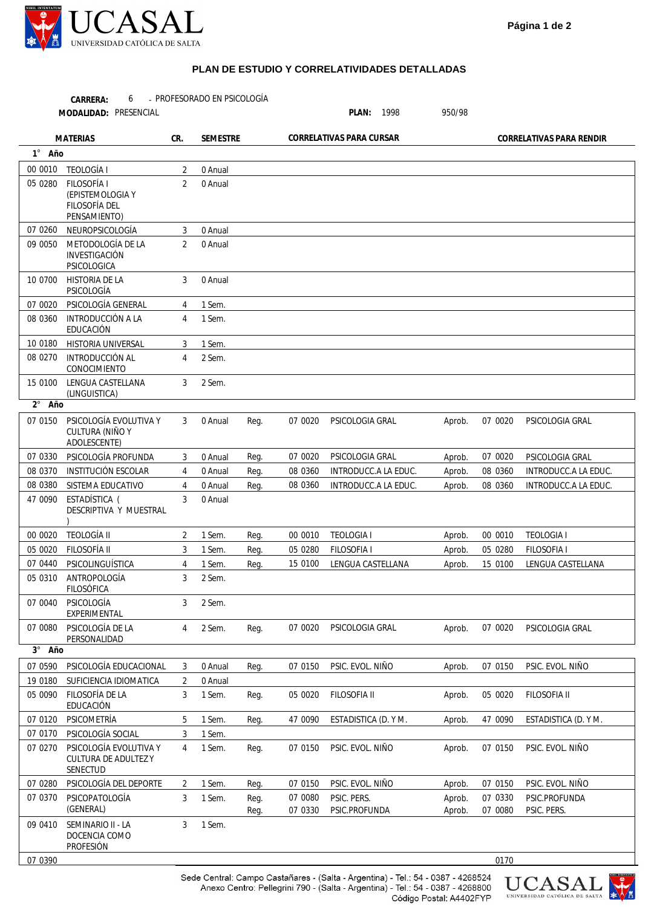

## **PLAN DE ESTUDIO Y CORRELATIVIDADES DETALLADAS**

PROFESORADO EN PSICOLOGÍA 6 -**CARRERA:**

**MODALIDAD:**

PLAN: 1998 950/98

| <b>MATERIAS</b> |                                                                         | CR.            | <b>SEMESTRE</b> |              | CORRELATIVAS PARA CURSAR |                              |                  | CORRELATIVAS PARA RENDIR |                              |  |
|-----------------|-------------------------------------------------------------------------|----------------|-----------------|--------------|--------------------------|------------------------------|------------------|--------------------------|------------------------------|--|
| 1° Año          |                                                                         |                |                 |              |                          |                              |                  |                          |                              |  |
| 00 0010         | <b>TEOLOGÍA I</b>                                                       | 2              | 0 Anual         |              |                          |                              |                  |                          |                              |  |
| 05 0280         | <b>FILOSOFÍA I</b><br>(EPISTEMOLOGIA Y<br>FILOSOFÍA DEL<br>PENSAMIENTO) | $\overline{2}$ | 0 Anual         |              |                          |                              |                  |                          |                              |  |
| 07 0260         | NEUROPSICOLOGÍA                                                         | 3              | 0 Anual         |              |                          |                              |                  |                          |                              |  |
| 09 0050         | METODOLOGÍA DE LA<br>INVESTIGACIÓN<br>PSICOLOGICA                       | 2              | 0 Anual         |              |                          |                              |                  |                          |                              |  |
| 10 0700         | <b>HISTORIA DE LA</b><br>PSICOLOGÍA                                     | 3              | 0 Anual         |              |                          |                              |                  |                          |                              |  |
| 07 0020         | PSICOLOGÍA GENERAL                                                      | 4              | 1 Sem.          |              |                          |                              |                  |                          |                              |  |
| 08 0360         | <b>INTRODUCCIÓN A LA</b><br>EDUCACIÓN                                   | $\overline{4}$ | 1 Sem.          |              |                          |                              |                  |                          |                              |  |
| 10 0180         | <b>HISTORIA UNIVERSAL</b>                                               | 3              | 1 Sem.          |              |                          |                              |                  |                          |                              |  |
| 08 0270         | INTRODUCCIÓN AL<br>CONOCIMIENTO                                         | 4              | 2 Sem.          |              |                          |                              |                  |                          |                              |  |
| 15 0100         | LENGUA CASTELLANA<br>(LINGUISTICA)                                      | 3              | 2 Sem.          |              |                          |                              |                  |                          |                              |  |
| 2° Año          |                                                                         |                |                 |              |                          |                              |                  |                          |                              |  |
| 07 0150         | PSICOLOGÍA EVOLUTIVA Y<br><b>CULTURA (NIÑO Y</b><br>ADOLESCENTE)        | 3              | 0 Anual         | Reg.         | 07 0020                  | PSICOLOGIA GRAL              | Aprob.           | 07 0020                  | PSICOLOGIA GRAL              |  |
| 07 0330         | PSICOLOGÍA PROFUNDA                                                     | 3              | 0 Anual         | Reg.         | 07 0020                  | PSICOLOGIA GRAL              | Aprob.           | 07 0020                  | PSICOLOGIA GRAL              |  |
| 08 0370         | <b>INSTITUCIÓN ESCOLAR</b>                                              | 4              | 0 Anual         | Req.         | 08 0360                  | INTRODUCC.A LA EDUC.         | Aprob.           | 08 0360                  | INTRODUCC.A LA EDUC.         |  |
| 08 0380         | SISTEMA EDUCATIVO                                                       | 4              | 0 Anual         | Reg.         | 08 0360                  | INTRODUCC.A LA EDUC.         | Aprob.           | 08 0360                  | INTRODUCC.A LA EDUC.         |  |
| 47 0090         | ESTADÍSTICA (<br>DESCRIPTIVA Y MUESTRAL                                 | 3              | 0 Anual         |              |                          |                              |                  |                          |                              |  |
| 00 00 20        | <b>TEOLOGÍA II</b>                                                      | 2              | 1 Sem.          | Reg.         | 00 0010                  | <b>TEOLOGIA I</b>            | Aprob.           | 00 0010                  | <b>TEOLOGIA I</b>            |  |
| 05 0020         | FILOSOFÍA II                                                            | 3              | 1 Sem.          | Reg.         | 05 0280                  | FILOSOFIA I                  | Aprob.           | 05 0280                  | <b>FILOSOFIA I</b>           |  |
| 07 0440         | PSICOLINGUÍSTICA                                                        | $\overline{4}$ | 1 Sem.          | Req.         | 15 0100                  | LENGUA CASTELLANA            | Aprob.           | 15 0100                  | LENGUA CASTELLANA            |  |
| 05 0310         | ANTROPOLOGÍA<br><b>FILOSÓFICA</b>                                       | 3              | 2 Sem.          |              |                          |                              |                  |                          |                              |  |
| 07 0040         | PSICOLOGÍA<br>EXPERIMENTAL                                              | 3              | 2 Sem.          |              |                          |                              |                  |                          |                              |  |
|                 | 07 0080 PSICOLOGÍA DE LA<br>PERSONALIDAD                                | 4              | 2 Sem.          | Reg.         |                          | 07 0020 PSICOLOGIA GRAL      | Aprob.           | 07 0020                  | PSICOLOGIA GRAL              |  |
| $3^\circ$ Año   |                                                                         |                |                 |              |                          |                              |                  |                          |                              |  |
| 07 0590         | PSICOLOGÍA EDUCACIONAL                                                  | 3              | 0 Anual         | Reg.         | 07 0150                  | PSIC. EVOL. NIÑO             | Aprob.           | 07 0150                  | PSIC. EVOL. NIÑO             |  |
| 19 0180         | SUFICIENCIA IDIOMATICA                                                  | $\overline{2}$ | 0 Anual         |              |                          |                              |                  |                          |                              |  |
| 05 0090         | FILOSOFÍA DE LA<br>EDUCACIÓN                                            | 3              | 1 Sem.          | Reg.         | 05 0020                  | FILOSOFIA II                 | Aprob.           | 05 0020                  | FILOSOFIA II                 |  |
| 07 0120         | PSICOMETRÍA                                                             | 5              | 1 Sem.          | Reg.         | 47 0090                  | ESTADISTICA (D. Y M.         | Aprob.           | 47 0090                  | ESTADISTICA (D. Y M.         |  |
| 07 0170         | PSICOLOGÍA SOCIAL                                                       | 3              | 1 Sem.          |              |                          |                              |                  |                          |                              |  |
| 07 0270         | PSICOLOGÍA EVOLUTIVA Y<br><b>CULTURA DE ADULTEZ Y</b><br>SENECTUD       | 4              | 1 Sem.          | Reg.         | 07 0150                  | PSIC. EVOL. NIÑO             | Aprob.           | 07 0150                  | PSIC. EVOL. NIÑO             |  |
| 07 0280         | PSICOLOGÍA DEL DEPORTE                                                  | 2              | 1 Sem.          | Reg.         | 07 0150                  | PSIC. EVOL. NIÑO             | Aprob.           | 07 0150                  | PSIC. EVOL. NIÑO             |  |
| 07 0370         | PSICOPATOLOGÍA<br>(GENERAL)                                             | 3              | 1 Sem.          | Reg.<br>Reg. | 07 0080<br>07 0330       | PSIC. PERS.<br>PSIC.PROFUNDA | Aprob.<br>Aprob. | 07 0330<br>07 0080       | PSIC.PROFUNDA<br>PSIC. PERS. |  |
| 09 0410         | SEMINARIO II - LA<br>DOCENCIA COMO<br>PROFESIÓN                         | 3              | 1 Sem.          |              |                          |                              |                  |                          |                              |  |
| 07 0390         |                                                                         |                |                 |              |                          |                              |                  | 0170                     |                              |  |